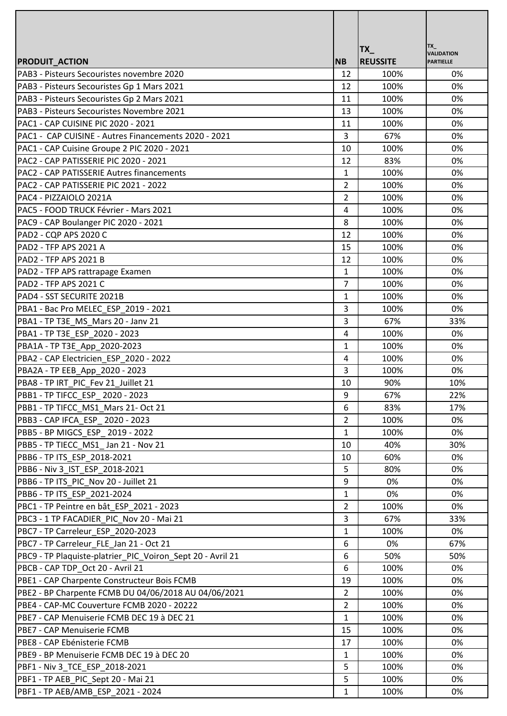|                                                            |                |                        | TX_                                   |
|------------------------------------------------------------|----------------|------------------------|---------------------------------------|
| <b>PRODUIT ACTION</b>                                      | <b>NB</b>      | TX_<br><b>REUSSITE</b> | <b>VALIDATION</b><br><b>PARTIELLE</b> |
| IPAB3 - Pisteurs Secouristes novembre 2020                 | 12             | 100%                   | 0%                                    |
| PAB3 - Pisteurs Secouristes Gp 1 Mars 2021                 | 12             | 100%                   | 0%                                    |
| PAB3 - Pisteurs Secouristes Gp 2 Mars 2021                 | 11             | 100%                   | 0%                                    |
| PAB3 - Pisteurs Secouristes Novembre 2021                  | 13             | 100%                   | 0%                                    |
| PAC1 - CAP CUISINE PIC 2020 - 2021                         | 11             | 100%                   | 0%                                    |
| PAC1 - CAP CUISINE - Autres Financements 2020 - 2021       | 3              | 67%                    | 0%                                    |
| PAC1 - CAP Cuisine Groupe 2 PIC 2020 - 2021                | 10             | 100%                   | 0%                                    |
| PAC2 - CAP PATISSERIE PIC 2020 - 2021                      | 12             | 83%                    | 0%                                    |
| PAC2 - CAP PATISSERIE Autres financements                  | $\mathbf{1}$   | 100%                   | 0%                                    |
| IPAC2 - CAP PATISSERIE PIC 2021 - 2022                     | $\overline{2}$ | 100%                   | 0%                                    |
| PAC4 - PIZZAIOLO 2021A                                     | 2              | 100%                   | 0%                                    |
| PAC5 - FOOD TRUCK Février - Mars 2021                      | 4              | 100%                   | 0%                                    |
| PAC9 - CAP Boulanger PIC 2020 - 2021                       | 8              | 100%                   | 0%                                    |
| PAD2 - CQP APS 2020 C                                      | 12             | 100%                   | 0%                                    |
| PAD2 - TFP APS 2021 A                                      | 15             | 100%                   | 0%                                    |
| PAD2 - TFP APS 2021 B                                      | 12             | 100%                   | 0%                                    |
| PAD2 - TFP APS rattrapage Examen                           | $\mathbf{1}$   | 100%                   | 0%                                    |
| PAD2 - TFP APS 2021 C                                      | 7              | 100%                   | 0%                                    |
| PAD4 - SST SECURITE 2021B                                  | $\mathbf{1}$   | 100%                   | 0%                                    |
| PBA1 - Bac Pro MELEC ESP 2019 - 2021                       | 3              | 100%                   | 0%                                    |
| PBA1 - TP T3E MS Mars 20 - Jany 21                         | 3              | 67%                    | 33%                                   |
| PBA1 - TP T3E_ESP 2020 - 2023                              | 4              | 100%                   | 0%                                    |
| PBA1A-TP T3E App 2020-2023                                 | 1              | 100%                   | 0%                                    |
| PBA2 - CAP Electricien ESP 2020 - 2022                     | 4              | 100%                   | 0%                                    |
| PBA2A - TP EEB App 2020 - 2023                             | 3              | 100%                   | 0%                                    |
| PBA8 - TP IRT_PIC_Fev 21_Juillet 21                        | 10             | 90%                    | 10%                                   |
| PBB1 - TP TIFCC_ESP_2020 - 2023                            | 9              | 67%                    | 22%                                   |
| PBB1 - TP TIFCC MS1 Mars 21- Oct 21                        | 6              | 83%                    | 17%                                   |
| PBB3 - CAP IFCA ESP 2020 - 2023                            | $\overline{2}$ | 100%                   | 0%                                    |
| PBB5 - BP MIGCS ESP 2019 - 2022                            | 1              | 100%                   | 0%                                    |
| PBB5 - TP TIECC MS1 Jan 21 - Nov 21                        | 10             | 40%                    | 30%                                   |
| PBB6 - TP ITS ESP 2018-2021                                | 10             | 60%                    | 0%                                    |
| PBB6 - Niv 3 IST ESP 2018-2021                             | 5              | 80%                    | 0%                                    |
| PBB6 - TP ITS PIC Nov 20 - Juillet 21                      | 9              | 0%                     | 0%                                    |
| PBB6 - TP ITS ESP 2021-2024                                | 1              | 0%                     | 0%                                    |
| PBC1 - TP Peintre en bât ESP 2021 - 2023                   | $\overline{2}$ | 100%                   | 0%                                    |
| PBC3 - 1 TP FACADIER PIC Nov 20 - Mai 21                   | 3              | 67%                    | 33%                                   |
| PBC7 - TP Carreleur_ESP_2020-2023                          | 1              | 100%                   | 0%                                    |
| PBC7 - TP Carreleur FLE Jan 21 - Oct 21                    | 6              | 0%                     | 67%                                   |
| PBC9 - TP Plaquiste-platrier_PIC_Voiron_Sept 20 - Avril 21 | 6              | 50%                    | 50%                                   |
| PBCB - CAP TDP_Oct 20 - Avril 21                           | 6              | 100%                   | 0%                                    |
| PBE1 - CAP Charpente Constructeur Bois FCMB                | 19             | 100%                   | 0%                                    |
| PBE2 - BP Charpente FCMB DU 04/06/2018 AU 04/06/2021       | $\overline{2}$ | 100%                   | 0%                                    |
| PBE4 - CAP-MC Couverture FCMB 2020 - 20222                 | $\overline{2}$ | 100%                   | 0%                                    |
| PBE7 - CAP Menuiserie FCMB DEC 19 à DEC 21                 | 1              | 100%                   | 0%                                    |
| PBE7 - CAP Menuiserie FCMB                                 | 15             | 100%                   | 0%                                    |
| PBE8 - CAP Ebénisterie FCMB                                | 17             | 100%                   | 0%                                    |
| PBE9 - BP Menuiserie FCMB DEC 19 à DEC 20                  | $\mathbf{1}$   | 100%                   | 0%                                    |
| PBF1 - Niv 3 TCE ESP 2018-2021                             | 5              | 100%                   | 0%                                    |
| PBF1 - TP AEB PIC Sept 20 - Mai 21                         | 5              | 100%                   | 0%                                    |
| PBF1 - TP AEB/AMB_ESP_2021 - 2024                          | 1              | 100%                   | 0%                                    |